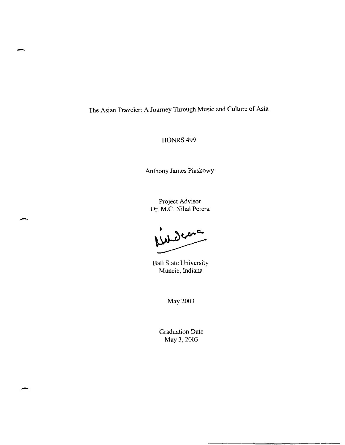The Asian Traveler: A Journey Through Music and Culture of Asia

-

-

-

HONRS<sub>499</sub>

Anthony James Piaskowy

Project Advisor Dr. M.C. Nihal Perera

indera

Ball State University Muncie, Indiana

May 2003

Graduation Date May 3, 2003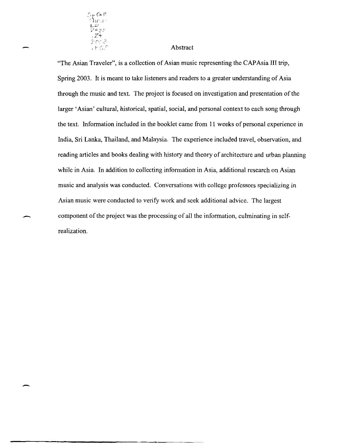

-

## Abstract

"The Asian Traveler", is a collection of Asian music representing the CAP Asia III trip, Spring 2003. It is meant to take listeners and readers to a greater understanding of Asia through the music and text. The project is focused on investigation and presentation of the larger 'Asian' cultural, historical, spatial, social, and personal context to each song through the text. Infonnation included in the booklet came from 11 weeks of personal experience in India, Sri Lanka, Thailand, and Malaysia. The experience included travel, observation, and reading articles and books dealing with history and theory of architecture and urban planning while in Asia. In addition to collecting information in Asia, additional research on Asian music and analysis was conducted. Conversations with college professors specializing in Asian music were conducted to verify work and seek additional advice. The largest component of the project was the processing of all the infonnation, culminating in selfrealization.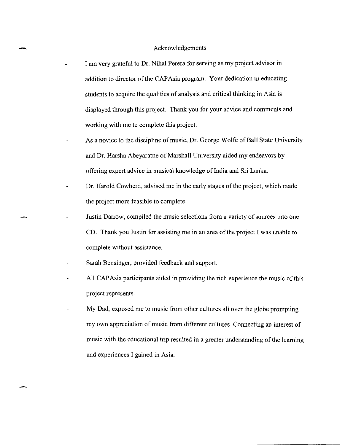## Acknowledgements

-

. -

- I am very grateful to Dr. Nihal Perera for serving as my project advisor in addition to director of the CAPAsia program. Your dedication in educating students to acquire the qualities of analysis and critical thinking in Asia is displayed through this project. Thank you for your advice and comments and working with me to complete this project.
- As a novice to the discipline of music, Dr. George Wolfe of Ball State University and Dr. Harsha Abeyaratne of Marshall University aided my endeavors by offering expert advice in musical knowledge of India and Sri Lanka.
- Dr. Harold Cowherd, advised me in the early stages of the project, which made the project more feasible to complete.
- Justin Darrow, compiled the music selections from a variety of sources into one CD. Thank you Justin for assisting me in an area of the project I was unable to complete without assistance.
	- Sarah Bensinger, provided feedback and support.
	- All CAP Asia participants aided in providing the rich experience the music of this project represents.
	- My Dad, exposed me to music from other cultures all over the globe prompting my own appreciation of music from different cultures. Connecting an interest of music with the educational trip resulted in a greater understanding of the learning and experiences I gained in Asia.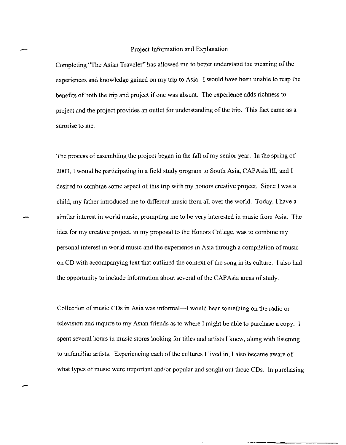## Project Information and Explanation

Completing "The Asian Traveler" has allowed me to better understand the meaning of the experiences and knowledge gained on my trip to Asia. I would have been unable to reap the benefits of both the trip and project if one was absent. The experience adds richness to project and the project provides an outlet for understanding of the trip. This fact came as a surprise to me.

The process of assembling the project began in the fall of my senior year. **In** the spring of 2003, I would be participating in a field study program to South Asia, CAP Asia **III,** and I desired to combine some aspect of this trip with my honors creative project. Since I was a child, my father introduced me to different music from all over the world. Today, I have a similar interest in world music, prompting me to be very interested in music from Asia. The idea for my creative project, in my proposal to the Honors College, was to combine my personal interest in world music and the experience in Asia through a compilation of music on CD with accompanying text that outlined the context of the song in its culture. I also had the opportunity to include information about several of the CAP Asia areas of study.

Collection of music CDs in Asia was informal—I would hear something on the radio or television and inquire to my Asian friends as to where I might be able to purchase a copy. I spent several hours in music stores looking for titles and artists I knew, along with listening to unfamiliar artists. Experiencing each of the cultures I lived in, I also became aware of what types of music were important and/or popular and sought out those CDs. In purchasing

 $\overline{\phantom{0}}$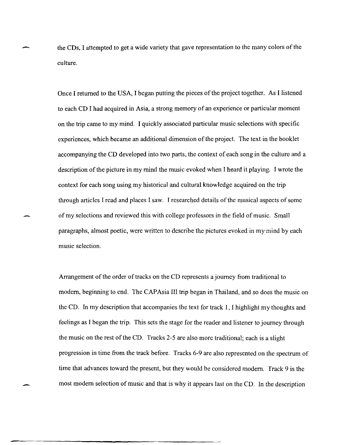the CDs, I attempted to get a wide variety that gave representation to the many colors of the culture.

Once I returned to the USA, I began putting the pieces of the project together. As I listened to each CD I had acquired in Asia, a strong memory of an experience or particular moment on the trip came to my mind. I quickly associated particular music selections with specific experiences, which became an additional dimension of the project. The text in the booklet accompanying the CD developed into two parts, the context of each song in the culture and a description of the picture in my mind the music evoked when I heard it playing. I wrote the context for each song using my historical and cultural knowledge acquired on the trip through articles I read and places I saw. I researched details of the musical aspects of some of my selections and reviewed this with college professors in the field of music. Small paragraphs, almost poetic, were written to describe the pictures evoked in my mind by each music selection.

Arrangement of the order of tracks on the CD represents a journey from traditional to modem, beginning to end. The CAP Asia III trip began in Thailand, and so does the music on the CD. In my description that accompanies the text for track I, I highlight my thoughts and feelings as I began the trip. This sets the stage for the reader and listener to journey through the music on the rest of the CD. Tracks 2-5 are also more traditional; each is a slight progression in time from the track before. Tracks 6-9 are also represented on the spectrum of time that advances toward the present, but they would be considered modem. Track 9 is the most modem selection of music and that is why it appears last on the CD. In the description

-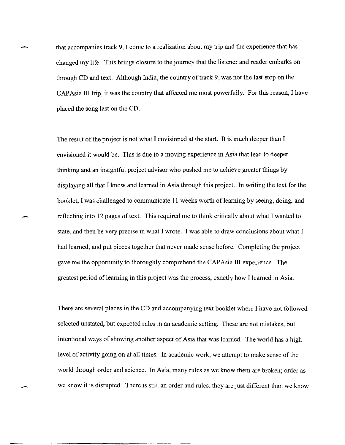that accompanies track 9, I come to a realization about my trip and the experience that has changed my life. This brings closure to the journey that the listener and reader embarks on through CD and text. Although India, the country of track 9, was not the last stop on the CAP Asia III trip, it was the country that affected me most powerfully. For this reason, I have placed the song last on the CD.

The result of the project is not what I envisioned at the start. It is much deeper than I envisioned it would be. This is due to a moving experience in Asia that lead to deeper thinking and an insightful project advisor who pushed me to achieve greater things by displaying all that I know and learned in Asia through this project. In writing the text for the booklet, I was challenged to communicate 11 weeks worth of learning by seeing, doing, and reflecting into 12 pages of text. This required me to think critically about what I wanted to state, and then be very precise in what I wrote. I was able to draw conclusions about what I had learned, and put pieces together that never made sense before. Completing the project gave me the opportunity to thoroughly comprehend the CAPAsia III experience. The greatest period of learning in this project was the process, exactly how I learned in Asia.

There are several places in the CD and accompanying text booklet where I have not followed selected unstated, but expected rules in an academic setting. These are not mistakes, but intentional ways of showing another aspect of Asia that was learned. The world has a high level of activity going on at all times. In academic work, we attempt to make sense of the world through order and science. In Asia, many rules as we know them are broken; order as we know it is disrupted. There is still an order and rules, they are just different than we know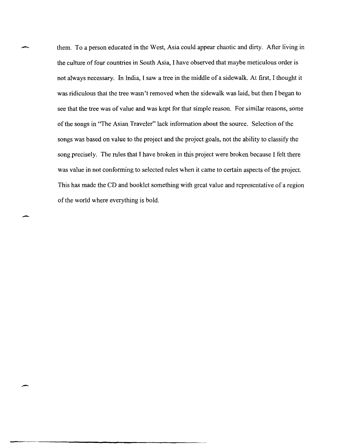them. To a person educated in the West, Asia could appear chaotic and dirty. After living in the culture of four countries in South Asia, I have observed that maybe meticulous order is not always necessary. In India, I saw a tree in the middle of a sidewalk. At first, I thought it was ridiculous that the tree wasn't removed when the sidewalk was laid, but then I began to see that the tree was of value and was kept for that simple reason. For similar reasons, some of the songs in "The Asian Traveler" lack information about the source. Selection of the songs was based on value to the project and the project goals, not the ability to classify the song precisely. The rules that I have broken in this project were broken because I felt there was value in not conforming to selected rules when it came to certain aspects of the project. This has made the CD and booklet something with great value and representative of a region of the world where everything is bold.

---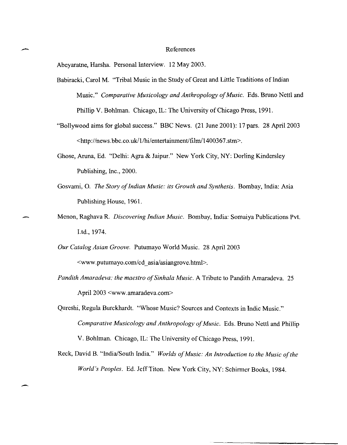## example and the References

Abeyaratne, Harsha. Personal Interview. 12 May 2003.

- Babiracki, Carol M. "Tribal Music in the Study of Great and Little Traditions of Indian Music." *Comparative Musicology and Anthropology of Music.* Eds. Bruno Nettl and Phillip V. Bohlman. Chicago, IL: The University of Chicago Press, 1991.
- "Bollywood aims for global success." BBC News. (21 June 2001): 17 pars. 28 April 2003  $\frac{\text{th}}{2}$ .  $\frac{\text{th}}{2}$ . http://news.bbc.co.uk/1/hi/entertainment/film/1400367.stm>.
- Ghose, Aruna, Ed. "Delhi: Agra & Jaipur." New York City, NY: Dorling Kindersley Publishing, Inc., 2000.
- Gosvami, O. *The Story of Indian Music:* its *Growth and Synthesis.* Bombay, India: Asia Publishing House, 1961.
- Menon, Raghava R. *Discovering Indian Music.* Bombay, India: Somaiya Publications Pvt. Ltd., 1974.
- *Our Catalog Asian Groove.* Putumayo World Music. 28 April 2003 <www.putumayo.com/cd\_asia/asiangrove.html>.
- *Pandith Amaradeva: the maestro of Sinhala Music.* A Tribute to Pandith Amaradeva. 25 April 2003 <www.amaradeva.com>
- Qureshi, Regula Burckhardt. "Whose Music? Sources and Contexts in Indic Music." *Comparative Musicology and Anthropology of Music.* Eds. Bruno Nettl and Phillip V. Bohlman. Chicago, IL: The University of Chicago Press, 1991.
- Reck, David B. "India/South India." *Worlds of Music: An Introduction to the Music of the World's Peoples.* Ed. Jeff Titon. New York City, NY: Schirmer Books, 1984.